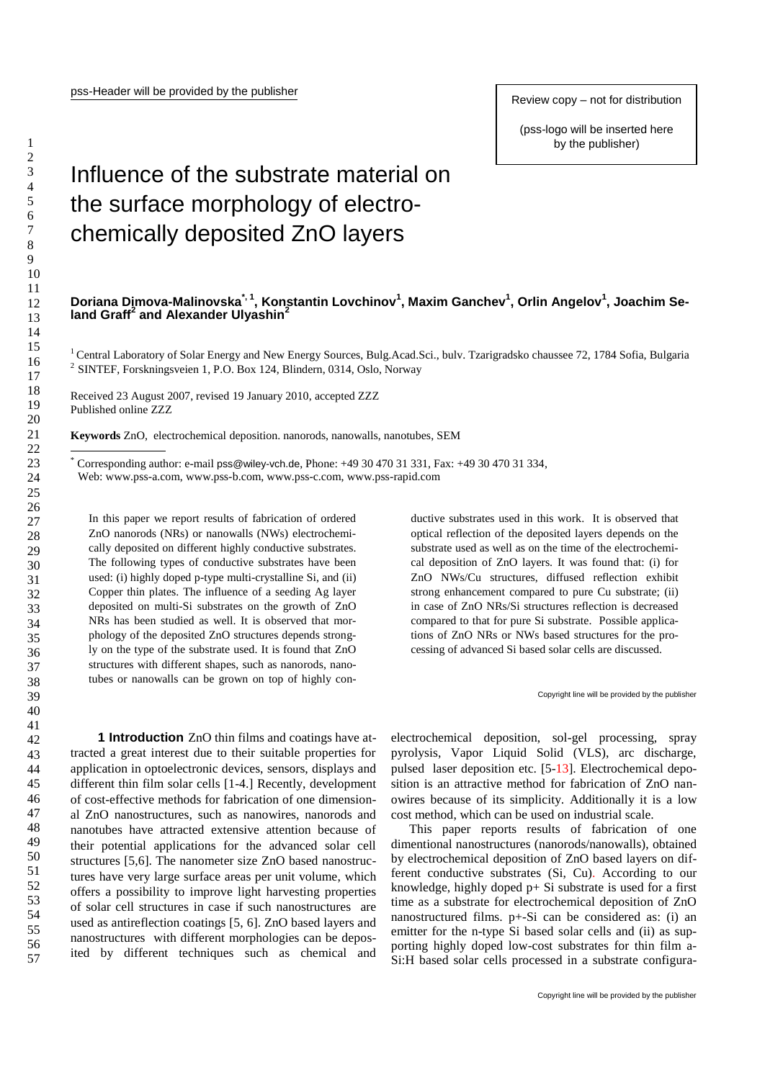Review copy – not for distribution

(pss-logo will be inserted here by the publisher)

## Influence of the substrate material on the surface morphology of electrochemically deposited ZnO layers

## **Doriana Dimova-Malinovska\*, 1 , Konstantin Lovchinov<sup>1</sup> , Maxim Ganchev<sup>1</sup> , Orlin Angelov<sup>1</sup> , Joachim Seland Graff<sup>2</sup> and Alexander Ulyashin<sup>2</sup>**

<sup>1</sup> Central Laboratory of Solar Energy and New Energy Sources, Bulg.Acad.Sci., buly. Tzarigradsko chaussee 72, 1784 Sofia, Bulgaria <sup>2</sup> SINTEF, Forskningsveien 1, P.O. Box 124, Blindern, 0314, Oslo, Norway

Received 23 August 2007, revised 19 January 2010, accepted ZZZ Published online ZZZ

**Keywords** ZnO, electrochemical deposition. nanorods, nanowalls, nanotubes, SEM

Corresponding author: e-mail pss@wiley-vch.de, Phone: +49 30 470 31 331, Fax: +49 30 470 31 334,

Web[: www.pss-a.com,](http://www.pss-a.com/) [www.pss-b.com,](http://www.pss-b.com/) [www.pss-c.com,](http://www.pss-c.com/) www.pss-rapid.com

In this paper we report results of fabrication of ordered ZnO nanorods (NRs) or nanowalls (NWs) electrochemically deposited on different highly conductive substrates. The following types of conductive substrates have been used: (i) highly doped p-type multi-crystalline Si, and (ii) Copper thin plates. The influence of a seeding Ag layer deposited on multi-Si substrates on the growth of ZnO NRs has been studied as well. It is observed that morphology of the deposited ZnO structures depends strongly on the type of the substrate used. It is found that ZnO structures with different shapes, such as nanorods, nanotubes or nanowalls can be grown on top of highly conductive substrates used in this work. It is observed that optical reflection of the deposited layers depends on the substrate used as well as on the time of the electrochemical deposition of ZnO layers. It was found that: (i) for ZnO NWs/Cu structures, diffused reflection exhibit strong enhancement compared to pure Cu substrate; (ii) in case of ZnO NRs/Si structures reflection is decreased compared to that for pure Si substrate. Possible applications of ZnO NRs or NWs based structures for the processing of advanced Si based solar cells are discussed.

Copyright line will be provided by the publisher

**1 Introduction** ZnO thin films and coatings have attracted a great interest due to their suitable properties for application in optoelectronic devices, sensors, displays and different thin film solar cells [1-4.] Recently, development of cost-effective methods for fabrication of one dimensional ZnO nanostructures, such as nanowires, nanorods and nanotubes have attracted extensive attention because of their potential applications for the advanced solar cell structures [5,6]. The nanometer size ZnO based nanostructures have very large surface areas per unit volume, which offers a possibility to improve light harvesting properties of solar cell structures in case if such nanostructures are used as antireflection coatings [5, 6]. ZnO based layers and nanostructures with different morphologies can be deposited by different techniques such as chemical and

electrochemical deposition, sol-gel processing, spray pyrolysis, Vapor Liquid Solid (VLS), arc discharge, pulsed laser deposition etc. [5-13]. Electrochemical deposition is an attractive method for fabrication of ZnO nanowires because of its simplicity. Additionally it is a low cost method, which can be used on industrial scale.

This paper reports results of fabrication of one dimentional nanostructures (nanorods/nanowalls), obtained by electrochemical deposition of ZnO based layers on different conductive substrates (Si, Cu). According to our knowledge, highly doped p+ Si substrate is used for a first time as a substrate for electrochemical deposition of ZnO nanostructured films. p+-Si can be considered as: (i) an emitter for the n-type Si based solar cells and (ii) as supporting highly doped low-cost substrates for thin film a-Si:H based solar cells processed in a substrate configura-

1

1 2 3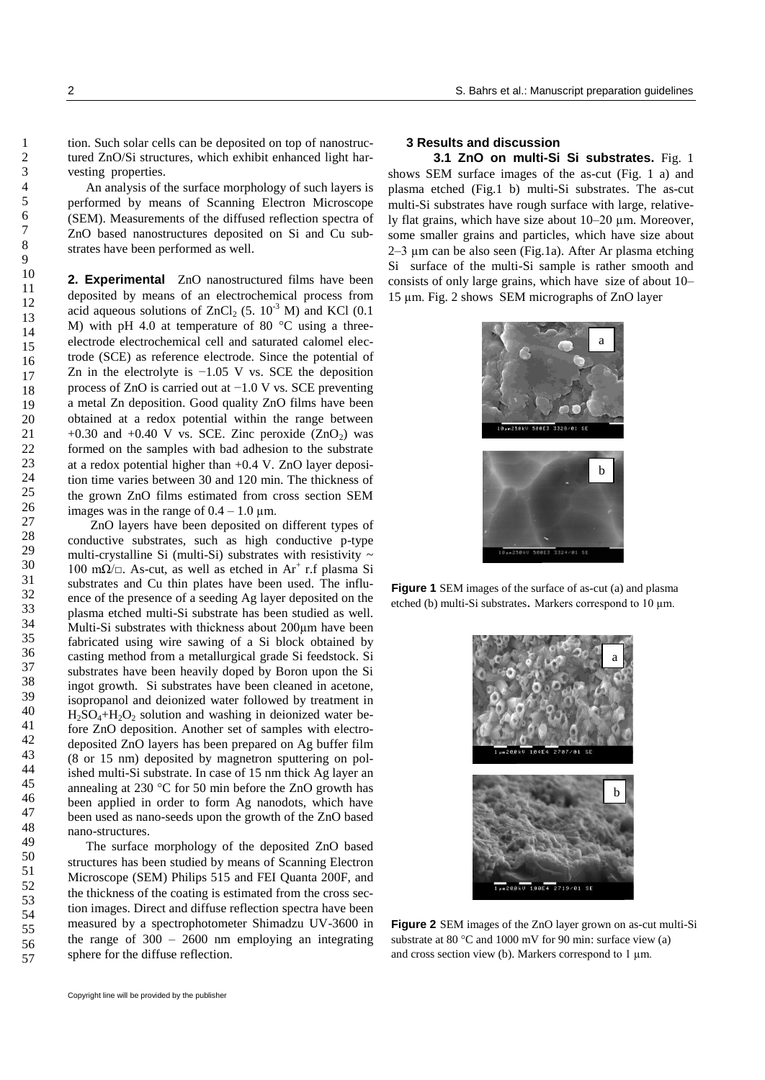tion. Such solar cells can be deposited on top of nanostructured ZnO/Si structures, which exhibit enhanced light harvesting properties.

An analysis of the surface morphology of such layers is performed by means of Scanning Electron Microscope (SEM). Measurements of the diffused reflection spectra of ZnO based nanostructures deposited on Si and Cu substrates have been performed as well.

**2. Experimental** ZnO nanostructured films have been deposited by means of an electrochemical process from acid aqueous solutions of  $ZnCl_2$  (5.  $10^{-3}$  M) and KCl (0.1 M) with pH 4.0 at temperature of 80 °C using a threeelectrode electrochemical cell and saturated calomel electrode (SCE) as reference electrode. Since the potential of Zn in the electrolyte is −1.05 V vs. SCE the deposition process of ZnO is carried out at −1.0 V vs. SCE preventing a metal Zn deposition. Good quality ZnO films have been obtained at a redox potential within the range between +0.30 and +0.40 V vs. SCE. Zinc peroxide  $(ZnO<sub>2</sub>)$  was formed on the samples with bad adhesion to the substrate at a redox potential higher than +0.4 V. ZnO layer deposition time varies between 30 and 120 min. The thickness of the grown ZnO films estimated from cross section SEM images was in the range of  $0.4 - 1.0 \mu m$ .

 ZnO layers have been deposited on different types of conductive substrates, such as high conductive p-type multi-crystalline Si (multi-Si) substrates with resistivity  $\sim$ 100 mΩ/ $□$ . As-cut, as well as etched in Ar<sup>+</sup> r.f plasma Si substrates and Cu thin plates have been used. The influence of the presence of a seeding Ag layer deposited on the plasma etched multi-Si substrate has been studied as well. Multi-Si substrates with thickness about 200µm have been fabricated using wire sawing of a Si block obtained by casting method from a metallurgical grade Si feedstock. Si substrates have been heavily doped by Boron upon the Si ingot growth. Si substrates have been cleaned in acetone, isopropanol and deionized water followed by treatment in  $H_2SO_4+H_2O_2$  solution and washing in deionized water before ZnO deposition. Another set of samples with electrodeposited ZnO layers has been prepared on Ag buffer film (8 or 15 nm) deposited by magnetron sputtering on polished multi-Si substrate. In case of 15 nm thick Ag layer an annealing at 230 °C for 50 min before the ZnO growth has been applied in order to form Ag nanodots, which have been used as nano-seeds upon the growth of the ZnO based nano-structures.

The surface morphology of the deposited ZnO based structures has been studied by means of Scanning Electron Microscope (SEM) Philips 515 and FEI Quanta 200F, and the thickness of the coating is estimated from the cross section images. Direct and diffuse reflection spectra have been measured by a spectrophotometer Shimadzu UV-3600 in the range of  $300 - 2600$  nm employing an integrating sphere for the diffuse reflection.

## **3 Results and discussion**

**3.1 ZnO on multi-Si Si substrates.** Fig. 1 shows SEM surface images of the as-cut (Fig. 1 a) and plasma etched (Fig.1 b) multi-Si substrates. The as-cut multi-Si substrates have rough surface with large, relatively flat grains, which have size about 10–20 µm. Moreover, some smaller grains and particles, which have size about 2–3 µm can be also seen (Fig.1a). After Ar plasma etching Si surface of the multi-Si sample is rather smooth and consists of only large grains, which have size of about 10– 15 µm. Fig. 2 shows SEM micrographs of ZnO layer



**Figure 1** SEM images of the surface of as-cut (a) and plasma etched (b) multi-Si substrates. Markers correspond to 10 µm.



**Figure 2** SEM images of the ZnO layer grown on as-cut multi-Si substrate at 80 °C and 1000 mV for 90 min: surface view (a) and cross section view (b). Markers correspond to  $1 \mu m$ .

57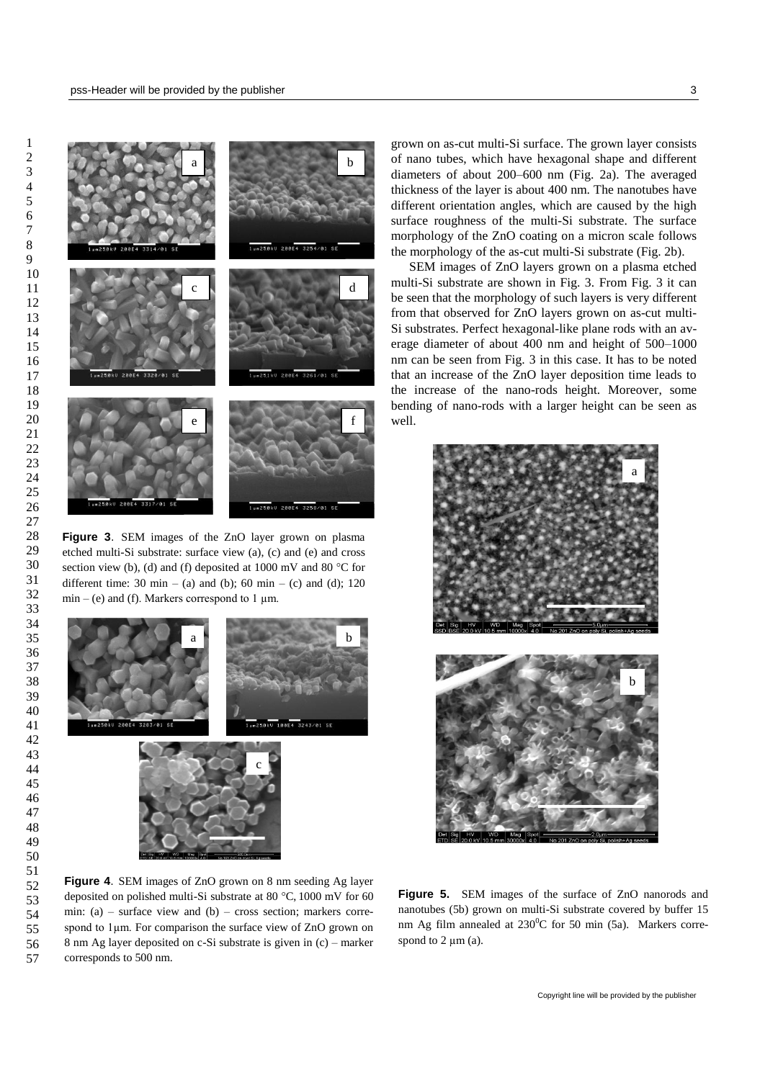

Figure 3. SEM images of the ZnO layer grown on plasma etched multi-Si substrate: surface view (a), (c) and (e) and cross section view (b), (d) and (f) deposited at 1000 mV and 80 °C for different time: 30 min – (a) and (b); 60 min – (c) and (d); 120  $min - (e)$  and (f). Markers correspond to 1  $\mu$ m.



min: (a) – surface view and (b) – cross section; markers correspond to  $1\mu$ m. For comparison the surface view of ZnO grown on **Figure 4**. SEM images of ZnO grown on 8 nm seeding Ag layer deposited on polished multi-Si substrate at 80 °C, 1000 mV for 60 8 nm Ag layer deposited on c-Si substrate is given in (c) – marker corresponds to 500 nm.

grown on as-cut multi-Si surface. The grown layer consists of nano tubes, which have hexagonal shape and different diameters of about 200–600 nm (Fig. 2a). The averaged thickness of the layer is about 400 nm. The nanotubes have different orientation angles, which are caused by the high surface roughness of the multi-Si substrate. The surface morphology of the ZnO coating on a micron scale follows the morphology of the as-cut multi-Si substrate (Fig. 2b).

SEM images of ZnO layers grown on a plasma etched multi-Si substrate are shown in Fig. 3. From Fig. 3 it can be seen that the morphology of such layers is very different from that observed for ZnO layers grown on as-cut multi-Si substrates. Perfect hexagonal-like plane rods with an average diameter of about 400 nm and height of 500–1000 nm can be seen from Fig. 3 in this case. It has to be noted that an increase of the ZnO layer deposition time leads to the increase of the nano-rods height. Moreover, some bending of nano-rods with a larger height can be seen as well.



Figure 5. SEM images of the surface of ZnO nanorods and nanotubes (5b) grown on multi-Si substrate covered by buffer 15 nm Ag film annealed at  $230^{\circ}$ C for 50 min (5a). Markers correspond to  $2 \mu m$  (a).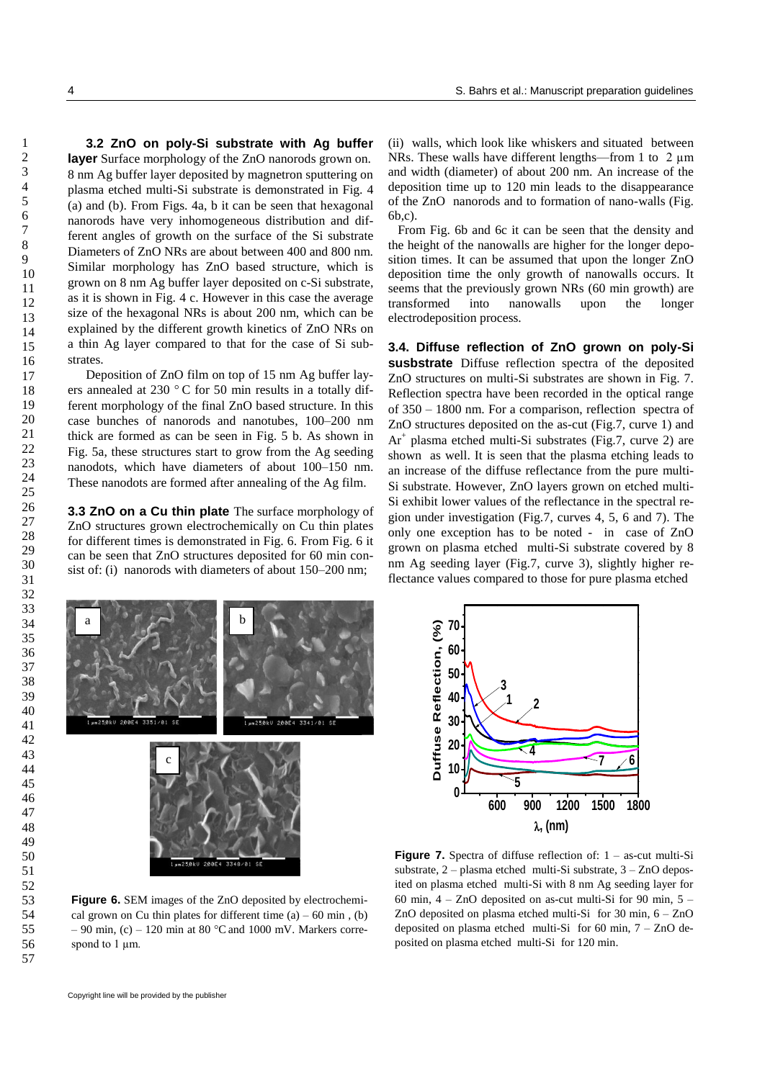**3.2 ZnO on poly-Si substrate with Ag buffer layer** Surface morphology of the ZnO nanorods grown on. 8 nm Ag buffer layer deposited by magnetron sputtering on plasma etched multi-Si substrate is demonstrated in Fig. 4 (a) and (b). From Figs. 4a, b it can be seen that hexagonal nanorods have very inhomogeneous distribution and different angles of growth on the surface of the Si substrate Diameters of ZnO NRs are about between 400 and 800 nm. Similar morphology has ZnO based structure, which is grown on 8 nm Ag buffer layer deposited on c-Si substrate, as it is shown in Fig. 4 c. However in this case the average size of the hexagonal NRs is about 200 nm, which can be explained by the different growth kinetics of ZnO NRs on a thin Ag layer compared to that for the case of Si substrates.

Deposition of ZnO film on top of 15 nm Ag buffer layers annealed at 230 ° C for 50 min results in a totally different morphology of the final ZnO based structure. In this case bunches of nanorods and nanotubes, 100–200 nm thick are formed as can be seen in Fig. 5 b. As shown in Fig. 5a, these structures start to grow from the Ag seeding nanodots, which have diameters of about 100–150 nm. These nanodots are formed after annealing of the Ag film.

**3.3 ZnO on a Cu thin plate** The surface morphology of ZnO structures grown electrochemically on Cu thin plates for different times is demonstrated in Fig. 6. From Fig. 6 it can be seen that ZnO structures deposited for 60 min consist of: (i) nanorods with diameters of about 150–200 nm;

(ii) walls, which look like whiskers and situated between NRs. These walls have different lengths—from 1 to  $2 \mu m$ and width (diameter) of about 200 nm. An increase of the deposition time up to 120 min leads to the disappearance of the ZnO nanorods and to formation of nano-walls (Fig. 6b,c).

 From Fig. 6b and 6c it can be seen that the density and the height of the nanowalls are higher for the longer deposition times. It can be assumed that upon the longer ZnO deposition time the only growth of nanowalls occurs. It seems that the previously grown NRs (60 min growth) are transformed into nanowalls upon the longer electrodeposition process.

**3.4. Diffuse reflection of ZnO grown on poly-Si susbstrate** Diffuse reflection spectra of the deposited ZnO structures on multi-Si substrates are shown in Fig. 7. Reflection spectra have been recorded in the optical range of 350 – 1800 nm. For a comparison, reflection spectra of ZnO structures deposited on the as-cut (Fig.7, curve 1) and Ar<sup>+</sup> plasma etched multi-Si substrates (Fig.7, curve 2) are shown as well. It is seen that the plasma etching leads to an increase of the diffuse reflectance from the pure multi-Si substrate. However, ZnO layers grown on etched multi-Si exhibit lower values of the reflectance in the spectral region under investigation (Fig.7, curves 4, 5, 6 and 7). The only one exception has to be noted - in case of ZnO grown on plasma etched multi-Si substrate covered by 8 nm Ag seeding layer (Fig.7, curve 3), slightly higher reflectance values compared to those for pure plasma etched





**Figure 6.** SEM images of the ZnO deposited by electrochemical grown on Cu thin plates for different time  $(a) - 60$  min,  $(b)$ – 90 min,  $(c)$  – 120 min at 80 °C and 1000 mV. Markers correspond to  $1 \mu m$ .

**Figure 7.** Spectra of diffuse reflection of: 1 – as-cut multi-Si substrate, 2 – plasma etched multi-Si substrate, 3 – ZnO deposited on plasma etched multi-Si with 8 nm Ag seeding layer for 60 min,  $4 - ZnO$  deposited on as-cut multi-Si for 90 min,  $5 -$ ZnO deposited on plasma etched multi-Si for 30 min, 6 – ZnO deposited on plasma etched multi-Si for 60 min, 7 – ZnO deposited on plasma etched multi-Si for 120 min.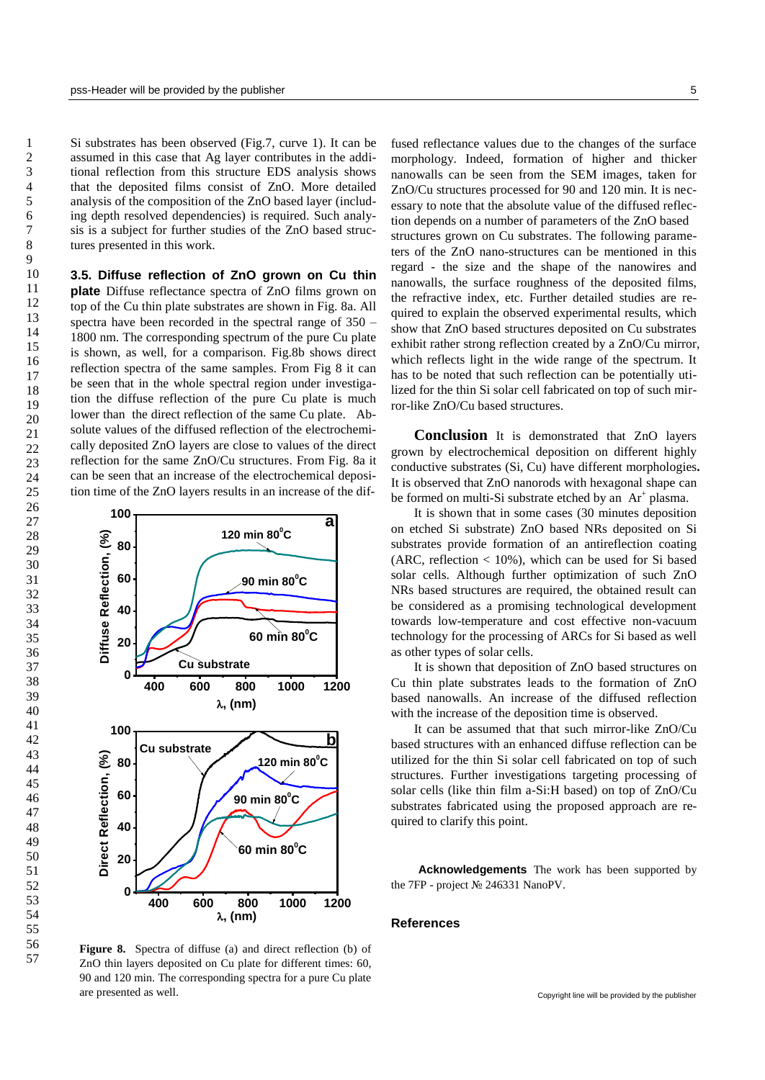Si substrates has been observed (Fig.7, curve 1). It can be assumed in this case that Ag layer contributes in the additional reflection from this structure EDS analysis shows that the deposited films consist of ZnO. More detailed analysis of the composition of the ZnO based layer (including depth resolved dependencies) is required. Such analysis is a subject for further studies of the ZnO based structures presented in this work.

**3.5. Diffuse reflection of ZnO grown on Cu thin plate** Diffuse reflectance spectra of ZnO films grown on top of the Cu thin plate substrates are shown in Fig. 8a. All spectra have been recorded in the spectral range of 350 – 1800 nm. The corresponding spectrum of the pure Cu plate is shown, as well, for a comparison. Fig.8b shows direct reflection spectra of the same samples. From Fig 8 it can be seen that in the whole spectral region under investigation the diffuse reflection of the pure Cu plate is much lower than the direct reflection of the same Cu plate. Absolute values of the diffused reflection of the electrochemically deposited ZnO layers are close to values of the direct reflection for the same ZnO/Cu structures. From Fig. 8a it can be seen that an increase of the electrochemical deposition time of the ZnO layers results in an increase of the dif-



**Figure 8.** Spectra of diffuse (a) and direct reflection (b) of ZnO thin layers deposited on Cu plate for different times: 60, 90 and 120 min. The corresponding spectra for a pure Cu plate are presented as well.

fused reflectance values due to the changes of the surface morphology. Indeed, formation of higher and thicker nanowalls can be seen from the SEM images, taken for ZnO/Cu structures processed for 90 and 120 min. It is necessary to note that the absolute value of the diffused reflection depends on a number of parameters of the ZnO based structures grown on Cu substrates. The following parameters of the ZnO nano-structures can be mentioned in this regard - the size and the shape of the nanowires and nanowalls, the surface roughness of the deposited films, the refractive index, etc. Further detailed studies are required to explain the observed experimental results, which show that ZnO based structures deposited on Cu substrates exhibit rather strong reflection created by a ZnO/Cu mirror, which reflects light in the wide range of the spectrum. It has to be noted that such reflection can be potentially utilized for the thin Si solar cell fabricated on top of such mirror-like ZnO/Cu based structures.

**Conclusion** It is demonstrated that ZnO layers grown by electrochemical deposition on different highly conductive substrates (Si, Cu) have different morphologies**.** It is observed that ZnO nanorods with hexagonal shape can be formed on multi-Si substrate etched by an  $Ar^+$  plasma.

It is shown that in some cases (30 minutes deposition a<br>on etched Si substrate) ZnO based NRs deposited on Si substrates provide formation of an antireflection coating (ARC, reflection  $< 10\%$ ), which can be used for Si based solar cells. Although further optimization of such ZnO NRs based structures are required, the obtained result can be considered as a promising technological development towards low-temperature and cost effective non-vacuum technology for the processing of ARCs for Si based as well as other types of solar cells.

> It is shown that deposition of ZnO based structures on Cu thin plate substrates leads to the formation of ZnO based nanowalls. An increase of the diffused reflection with the increase of the deposition time is observed.

> It can be assumed that that such mirror-like ZnO/Cu based structures with an enhanced diffuse reflection can be utilized for the thin Si solar cell fabricated on top of such structures. Further investigations targeting processing of solar cells (like thin film a-Si:H based) on top of ZnO/Cu substrates fabricated using the proposed approach are required to clarify this point.

> **Acknowledgements** The work has been supported by the 7FP - project № 246331 NanoPV.

## **References**